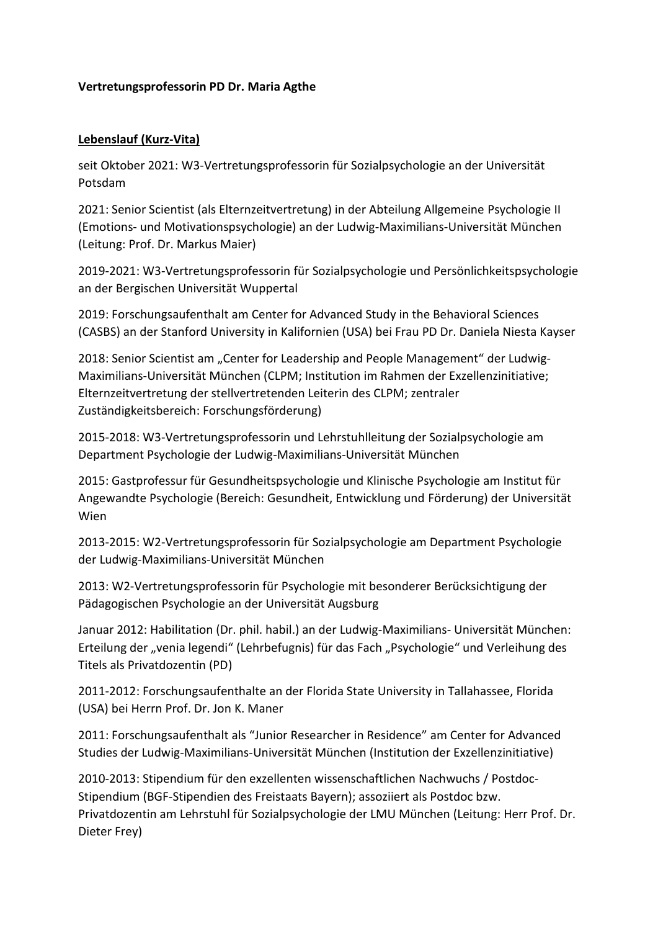## **Vertretungsprofessorin PD Dr. Maria Agthe**

## **Lebenslauf (Kurz-Vita)**

seit Oktober 2021: W3-Vertretungsprofessorin für Sozialpsychologie an der Universität Potsdam

2021: Senior Scientist (als Elternzeitvertretung) in der Abteilung Allgemeine Psychologie II (Emotions- und Motivationspsychologie) an der Ludwig-Maximilians-Universität München (Leitung: Prof. Dr. Markus Maier)

2019-2021: W3-Vertretungsprofessorin für Sozialpsychologie und Persönlichkeitspsychologie an der Bergischen Universität Wuppertal

2019: Forschungsaufenthalt am Center for Advanced Study in the Behavioral Sciences (CASBS) an der Stanford University in Kalifornien (USA) bei Frau PD Dr. Daniela Niesta Kayser

2018: Senior Scientist am "Center for Leadership and People Management" der Ludwig-Maximilians-Universität München (CLPM; Institution im Rahmen der Exzellenzinitiative; Elternzeitvertretung der stellvertretenden Leiterin des CLPM; zentraler Zuständigkeitsbereich: Forschungsförderung)

2015-2018: W3-Vertretungsprofessorin und Lehrstuhlleitung der Sozialpsychologie am Department Psychologie der Ludwig-Maximilians-Universität München

2015: Gastprofessur für Gesundheitspsychologie und Klinische Psychologie am Institut für Angewandte Psychologie (Bereich: Gesundheit, Entwicklung und Förderung) der Universität Wien

2013-2015: W2-Vertretungsprofessorin für Sozialpsychologie am Department Psychologie der Ludwig-Maximilians-Universität München

2013: W2-Vertretungsprofessorin für Psychologie mit besonderer Berücksichtigung der Pädagogischen Psychologie an der Universität Augsburg

Januar 2012: Habilitation (Dr. phil. habil.) an der Ludwig-Maximilians- Universität München: Erteilung der "venia legendi" (Lehrbefugnis) für das Fach "Psychologie" und Verleihung des Titels als Privatdozentin (PD)

2011-2012: Forschungsaufenthalte an der Florida State University in Tallahassee, Florida (USA) bei Herrn Prof. Dr. Jon K. Maner

2011: Forschungsaufenthalt als "Junior Researcher in Residence" am Center for Advanced Studies der Ludwig-Maximilians-Universität München (Institution der Exzellenzinitiative)

2010-2013: Stipendium für den exzellenten wissenschaftlichen Nachwuchs / Postdoc-Stipendium (BGF-Stipendien des Freistaats Bayern); assoziiert als Postdoc bzw. Privatdozentin am Lehrstuhl für Sozialpsychologie der LMU München (Leitung: Herr Prof. Dr. Dieter Frey)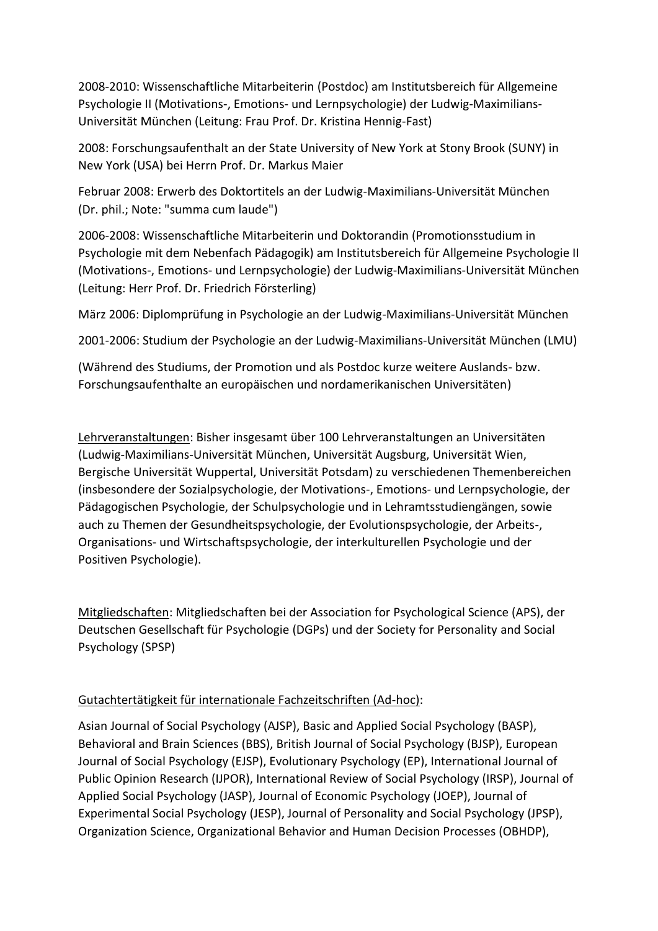2008-2010: Wissenschaftliche Mitarbeiterin (Postdoc) am Institutsbereich für Allgemeine Psychologie II (Motivations-, Emotions- und Lernpsychologie) der Ludwig-Maximilians-Universität München (Leitung: Frau Prof. Dr. Kristina Hennig-Fast)

2008: Forschungsaufenthalt an der State University of New York at Stony Brook (SUNY) in New York (USA) bei Herrn Prof. Dr. Markus Maier

Februar 2008: Erwerb des Doktortitels an der Ludwig-Maximilians-Universität München (Dr. phil.; Note: "summa cum laude")

2006-2008: Wissenschaftliche Mitarbeiterin und Doktorandin (Promotionsstudium in Psychologie mit dem Nebenfach Pädagogik) am Institutsbereich für Allgemeine Psychologie II (Motivations-, Emotions- und Lernpsychologie) der Ludwig-Maximilians-Universität München (Leitung: Herr Prof. Dr. Friedrich Försterling)

März 2006: Diplomprüfung in Psychologie an der Ludwig-Maximilians-Universität München

2001-2006: Studium der Psychologie an der Ludwig-Maximilians-Universität München (LMU)

(Während des Studiums, der Promotion und als Postdoc kurze weitere Auslands- bzw. Forschungsaufenthalte an europäischen und nordamerikanischen Universitäten)

Lehrveranstaltungen: Bisher insgesamt über 100 Lehrveranstaltungen an Universitäten (Ludwig-Maximilians-Universität München, Universität Augsburg, Universität Wien, Bergische Universität Wuppertal, Universität Potsdam) zu verschiedenen Themenbereichen (insbesondere der Sozialpsychologie, der Motivations-, Emotions- und Lernpsychologie, der Pädagogischen Psychologie, der Schulpsychologie und in Lehramtsstudiengängen, sowie auch zu Themen der Gesundheitspsychologie, der Evolutionspsychologie, der Arbeits-, Organisations- und Wirtschaftspsychologie, der interkulturellen Psychologie und der Positiven Psychologie).

Mitgliedschaften: Mitgliedschaften bei der Association for Psychological Science (APS), der Deutschen Gesellschaft für Psychologie (DGPs) und der Society for Personality and Social Psychology (SPSP)

# Gutachtertätigkeit für internationale Fachzeitschriften (Ad-hoc):

Asian Journal of Social Psychology (AJSP), Basic and Applied Social Psychology (BASP), Behavioral and Brain Sciences (BBS), British Journal of Social Psychology (BJSP), European Journal of Social Psychology (EJSP), Evolutionary Psychology (EP), International Journal of Public Opinion Research (IJPOR), International Review of Social Psychology (IRSP), Journal of Applied Social Psychology (JASP), Journal of Economic Psychology (JOEP), Journal of Experimental Social Psychology (JESP), Journal of Personality and Social Psychology (JPSP), Organization Science, Organizational Behavior and Human Decision Processes (OBHDP),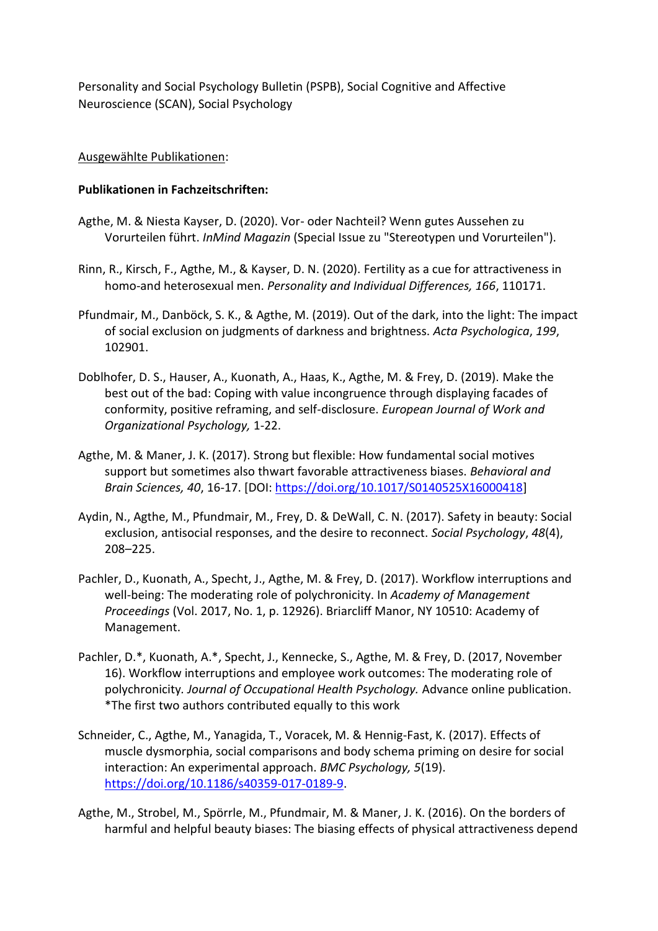Personality and Social Psychology Bulletin (PSPB), Social Cognitive and Affective Neuroscience (SCAN), Social Psychology

## Ausgewählte Publikationen:

## **Publikationen in Fachzeitschriften:**

- Agthe, M. & Niesta Kayser, D. (2020). Vor- oder Nachteil? Wenn gutes Aussehen zu Vorurteilen führt. *InMind Magazin* (Special Issue zu "Stereotypen und Vorurteilen").
- Rinn, R., Kirsch, F., Agthe, M., & Kayser, D. N. (2020). Fertility as a cue for attractiveness in homo-and heterosexual men. *Personality and Individual Differences, 166*, 110171.
- Pfundmair, M., Danböck, S. K., & Agthe, M. (2019). Out of the dark, into the light: The impact of social exclusion on judgments of darkness and brightness. *Acta Psychologica*, *199*, 102901.
- Doblhofer, D. S., Hauser, A., Kuonath, A., Haas, K., Agthe, M. & Frey, D. (2019). Make the best out of the bad: Coping with value incongruence through displaying facades of conformity, positive reframing, and self-disclosure. *European Journal of Work and Organizational Psychology,* 1-22.
- Agthe, M. & Maner, J. K. (2017). Strong but flexible: How fundamental social motives support but sometimes also thwart favorable attractiveness biases. *Behavioral and Brain Sciences, 40*, 16-17. [DOI: [https://doi.org/10.1017/S0140525X16000418\]](https://doi.org/10.1017/S0140525X16000418)
- Aydin, N., Agthe, M., Pfundmair, M., Frey, D. & DeWall, C. N. (2017). Safety in beauty: Social exclusion, antisocial responses, and the desire to reconnect. *Social Psychology*, *48*(4), 208–225.
- Pachler, D., Kuonath, A., Specht, J., Agthe, M. & Frey, D. (2017). Workflow interruptions and well-being: The moderating role of polychronicity. In *Academy of Management Proceedings* (Vol. 2017, No. 1, p. 12926). Briarcliff Manor, NY 10510: Academy of Management.
- Pachler, D.\*, Kuonath, A.\*, Specht, J., Kennecke, S., Agthe, M. & Frey, D. (2017, November 16). Workflow interruptions and employee work outcomes: The moderating role of polychronicity*. Journal of Occupational Health Psychology.* Advance online publication. \*The first two authors contributed equally to this work
- Schneider, C., Agthe, M., Yanagida, T., Voracek, M. & Hennig-Fast, K. (2017). Effects of muscle dysmorphia, social comparisons and body schema priming on desire for social interaction: An experimental approach. *BMC Psychology, 5*(19). [https://doi.org/10.1186/s40359-017-0189-9.](https://doi.org/10.1186/s40359-017-0189-9)
- Agthe, M., Strobel, M., Spörrle, M., Pfundmair, M. & Maner, J. K. (2016). On the borders of harmful and helpful beauty biases: The biasing effects of physical attractiveness depend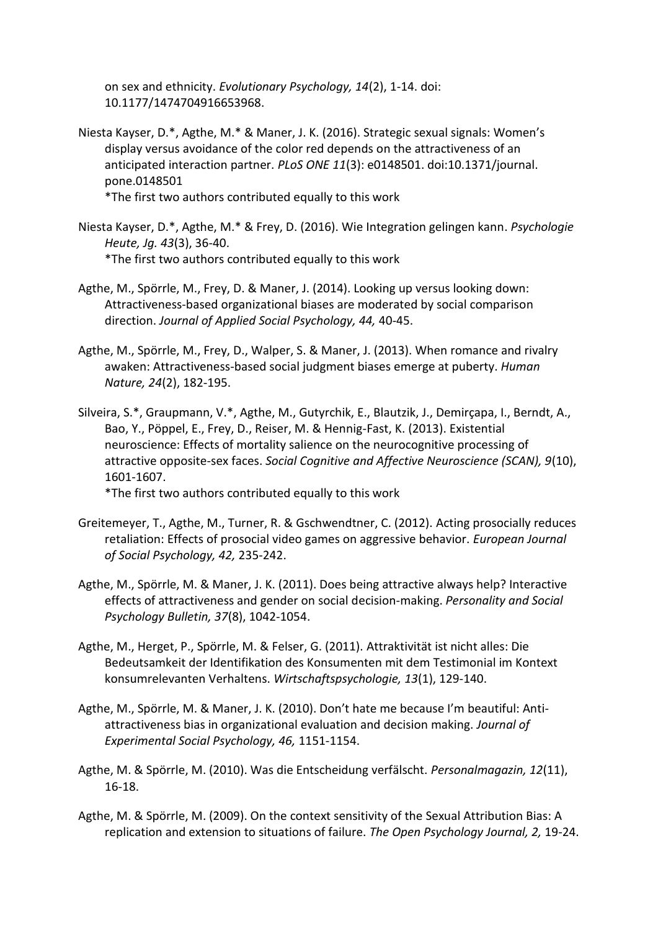on sex and ethnicity. *Evolutionary Psychology, 14*(2), 1-14. doi: 10.1177/1474704916653968.

Niesta Kayser, D.\*, Agthe, M.\* & Maner, J. K. (2016). Strategic sexual signals: Women's display versus avoidance of the color red depends on the attractiveness of an anticipated interaction partner. *PLoS ONE 11*(3): e0148501. doi:10.1371/journal. pone.0148501

\*The first two authors contributed equally to this work

- Niesta Kayser, D.\*, Agthe, M.\* & Frey, D. (2016). Wie Integration gelingen kann. *Psychologie Heute, Jg. 43*(3), 36-40. \*The first two authors contributed equally to this work
- Agthe, M., Spörrle, M., Frey, D. & Maner, J. (2014). Looking up versus looking down: Attractiveness-based organizational biases are moderated by social comparison direction. *Journal of Applied Social Psychology, 44,* 40-45.
- Agthe, M., Spörrle, M., Frey, D., Walper, S. & Maner, J. (2013). When romance and rivalry awaken: Attractiveness-based social judgment biases emerge at puberty. *Human Nature, 24*(2), 182-195.
- Silveira, S.\*, Graupmann, V.\*, Agthe, M., Gutyrchik, E., Blautzik, J., Demirçapa, I., Berndt, A., Bao, Y., Pöppel, E., Frey, D., Reiser, M. & Hennig-Fast, K. (2013). Existential neuroscience: Effects of mortality salience on the neurocognitive processing of attractive opposite-sex faces. *Social Cognitive and Affective Neuroscience (SCAN), 9*(10), 1601-1607. \*The first two authors contributed equally to this work
	-
- Greitemeyer, T., Agthe, M., Turner, R. & Gschwendtner, C. (2012). Acting prosocially reduces retaliation: Effects of prosocial video games on aggressive behavior. *European Journal of Social Psychology, 42,* 235-242.
- Agthe, M., Spörrle, M. & Maner, J. K. (2011). Does being attractive always help? Interactive effects of attractiveness and gender on social decision-making. *Personality and Social Psychology Bulletin, 37*(8), 1042-1054.
- Agthe, M., Herget, P., Spörrle, M. & Felser, G. (2011). Attraktivität ist nicht alles: Die Bedeutsamkeit der Identifikation des Konsumenten mit dem Testimonial im Kontext konsumrelevanten Verhaltens. *Wirtschaftspsychologie, 13*(1), 129-140.
- Agthe, M., Spörrle, M. & Maner, J. K. (2010). Don't hate me because I'm beautiful: Antiattractiveness bias in organizational evaluation and decision making. *Journal of Experimental Social Psychology, 46,* 1151-1154.
- Agthe, M. & Spörrle, M. (2010). Was die Entscheidung verfälscht. *Personalmagazin, 12*(11), 16-18.
- Agthe, M. & Spörrle, M. (2009). On the context sensitivity of the Sexual Attribution Bias: A replication and extension to situations of failure. *The Open Psychology Journal, 2,* 19-24.